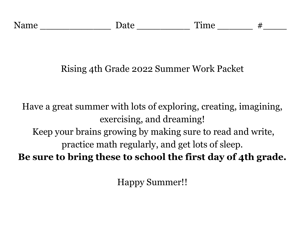# Rising 4th Grade 2022 Summer Work Packet

Have a great summer with lots of exploring, creating, imagining, exercising, and dreaming! Keep your brains growing by making sure to read and write, practice math regularly, and get lots of sleep. **Be sure to bring these to school the first day of 4th grade.**

Happy Summer!!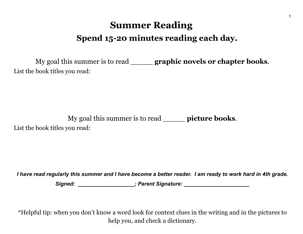# **Summer Reading Spend 15-20 minutes reading each day.**

My goal this summer is to read \_\_\_\_\_ **graphic novels or chapter books**. List the book titles you read:

My goal this summer is to read \_\_\_\_\_ **picture books**. List the book titles you read:

I have read regularly this summer and I have become a better reader. I am ready to work hard in 4th grade.

*Signed: \_\_\_\_\_\_\_\_\_\_\_\_\_\_\_\_\_\_\_; Parent Signature: \_\_\_\_\_\_\_\_\_\_\_\_\_\_\_\_\_\_\_\_\_\_*

\*Helpful tip: when you don't know a word look for context clues in the writing and in the pictures to help you, and check a dictionary.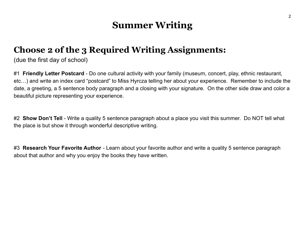## **Summer Writing**

## **Choose 2 of the 3 Required Writing Assignments:**

(due the first day of school)

#1 **Friendly Letter Postcard** - Do one cultural activity with your family (museum, concert, play, ethnic restaurant, etc…) and write an index card "postcard" to Miss Hyrcza telling her about your experience. Remember to include the date, a greeting, a 5 sentence body paragraph and a closing with your signature. On the other side draw and color a beautiful picture representing your experience.

#2 **Show Don't Tell** - Write a quality 5 sentence paragraph about a place you visit this summer. Do NOT tell what the place is but show it through wonderful descriptive writing.

#3 **Research Your Favorite Author** - Learn about your favorite author and write a quality 5 sentence paragraph about that author and why you enjoy the books they have written.